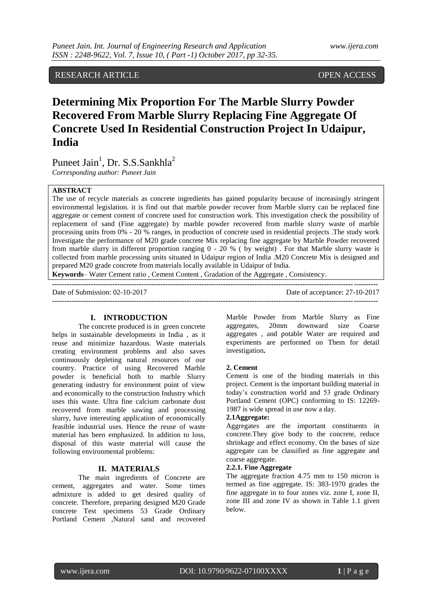RESEARCH ARTICLE OPEN ACCESS

# **Determining Mix Proportion For The Marble Slurry Powder Recovered From Marble Slurry Replacing Fine Aggregate Of Concrete Used In Residential Construction Project In Udaipur, India**

Puneet Jain<sup>1</sup>, Dr. S.S.Sankhla<sup>2</sup> *Corresponding author: Puneet Jain*

#### **ABSTRACT**

The use of recycle materials as concrete ingredients has gained popularity because of increasingly stringent environmental legislation. it is find out that marble powder recover from Marble slurry can be replaced fine aggregate or cement content of concrete used for construction work. This investigation check the possibility of replacement of sand (Fine aggregate) by marble powder recovered from marble slurry waste of marble processing units from 0% - 20 % ranges, in production of concrete used in residential projects .The study work Investigate the performance of M20 grade concrete Mix replacing fine aggregate by Marble Powder recovered from marble slurry in different proportion ranging 0 - 20 % ( by weight) . For that Marble slurry waste is collected from marble processing units situated in Udaipur region of India .M20 Concrete Mix is designed and prepared M20 grade concrete from materials locally available in Udaipur of India.

**Keywords**– Water Cement ratio , Cement Content , Gradation of the Aggregate , Consistency.

**---------------------------------------------------------------------------------------------------------------------------------------** Date of acceptance: 27-10-2017 **---------------------------------------------------------------------------------------------------------------------------------------**

## **I. INTRODUCTION**

The concrete produced is in green concrete helps in sustainable developments in India , as it reuse and minimize hazardous. Waste materials creating environment problems and also saves continuously depleting natural resources of our country. Practice of using Recovered Marble powder is beneficial both to marble Slurry generating industry for environment point of view and economically to the construction Industry which uses this waste. Ultra fine calcium carbonate dust recovered from marble sawing and processing slurry, have interesting application of economically feasible industrial uses. Hence the reuse of waste material has been emphasized. In addition to loss, disposal of this waste material will cause the following environmental problems:

#### **II. MATERIALS**

The main ingredients of Concrete are cement, aggregates and water. Some times admixture is added to get desired quality of concrete. Therefore, preparing designed M20 Grade concrete Test specimens 53 Grade Ordinary Portland Cement ,Natural sand and recovered Marble Powder from Marble Slurry as Fine aggregates, 20mm downward size Coarse aggregates , and potable Water are required and experiments are performed on Them for detail investigation**.**

#### **2. Cement**

Cement is one of the binding materials in this project. Cement is the important building material in today's construction world and 53 grade Ordinary Portland Cement (OPC) conforming to IS: 12269- 1987 is wide spread in use now a day.

#### **2.1Aggregate:**

Aggregates are the important constituents in concrete.They give body to the concrete, reduce shrinkage and effect economy. On the bases of size aggregate can be classified as fine aggregate and coarse aggregate.

## **2.2.1. Fine Aggregate**

The aggregate fraction 4.75 mm to 150 micron is termed as fine aggregate. IS: 383-1970 grades the fine aggregate in to four zones viz. zone I, zone II, zone III and zone IV as shown in Table 1.1 given below.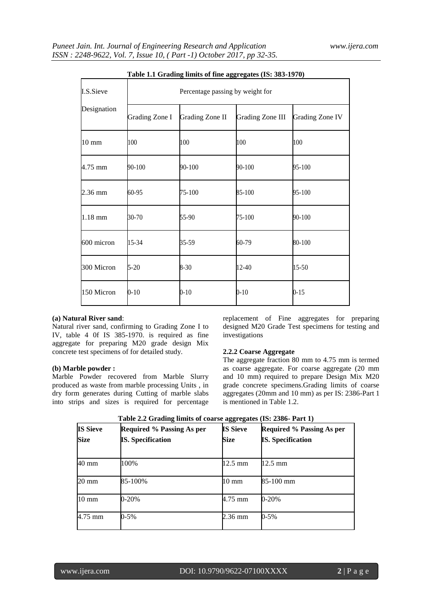| Table 1.1 Grading mines of thic aggregates (i.e. $505-1770$ ) |  |                                                                                      |                                                                                     |  |
|---------------------------------------------------------------|--|--------------------------------------------------------------------------------------|-------------------------------------------------------------------------------------|--|
| Percentage passing by weight for                              |  |                                                                                      |                                                                                     |  |
| Grading Zone I                                                |  |                                                                                      | Grading Zone IV                                                                     |  |
| 100                                                           |  |                                                                                      | 100                                                                                 |  |
| 90-100                                                        |  |                                                                                      | 95-100                                                                              |  |
| 60-95                                                         |  |                                                                                      | 95-100                                                                              |  |
| 30-70                                                         |  |                                                                                      | 90-100                                                                              |  |
| 15-34                                                         |  |                                                                                      | 80-100                                                                              |  |
| $5-20$                                                        |  |                                                                                      | 15-50                                                                               |  |
| $0 - 10$                                                      |  |                                                                                      | $0 - 15$                                                                            |  |
|                                                               |  | Grading Zone II<br>100<br>90-100<br>75-100<br>55-90<br>35-59<br>$8 - 30$<br>$0 - 10$ | Grading Zone III<br>100<br>90-100<br>85-100<br>75-100<br>60-79<br>12-40<br>$0 - 10$ |  |

## **Table 1.1 Grading limits of fine aggregates (IS: 383-1970)**

## **(a) Natural River sand**:

Natural river sand, confirming to Grading Zone I to IV, table 4 0f IS 385-1970. is required as fine aggregate for preparing M20 grade design Mix concrete test specimens of for detailed study.

#### **(b) Marble powder :**

Marble Powder recovered from Marble Slurry produced as waste from marble processing Units , in dry form generates during Cutting of marble slabs into strips and sizes is required for percentage

replacement of Fine aggregates for preparing designed M20 Grade Test specimens for testing and investigations

#### **2.2.2 Coarse Aggregate**

The aggregate fraction 80 mm to 4.75 mm is termed as coarse aggregate. For coarse aggregate (20 mm and 10 mm) required to prepare Design Mix M20 grade concrete specimens.Grading limits of coarse aggregates (20mm and 10 mm) as per IS: 2386-Part 1 is mentioned in Table 1.2.

| <b>IS Sieve</b><br>Size | <b>Required % Passing As per</b><br><b>IS.</b> Specification | <b>IS Sieve</b><br>Size | <b>Required % Passing As per</b><br><b>IS.</b> Specification |
|-------------------------|--------------------------------------------------------------|-------------------------|--------------------------------------------------------------|
| 40 mm                   | 100%                                                         | $12.5 \text{ mm}$       | $12.5 \text{ mm}$                                            |
| 20 mm                   | 85-100%                                                      | $10 \text{ mm}$         | 85-100 mm                                                    |
| $10 \text{ mm}$         | $0 - 20%$                                                    | 4.75 mm                 | $0 - 20%$                                                    |
| 4.75 mm                 | $0-5%$                                                       | 2.36 mm                 | $0 - 5\%$                                                    |

**Table 2.2 Grading limits of coarse aggregates (IS: 2386- Part 1)**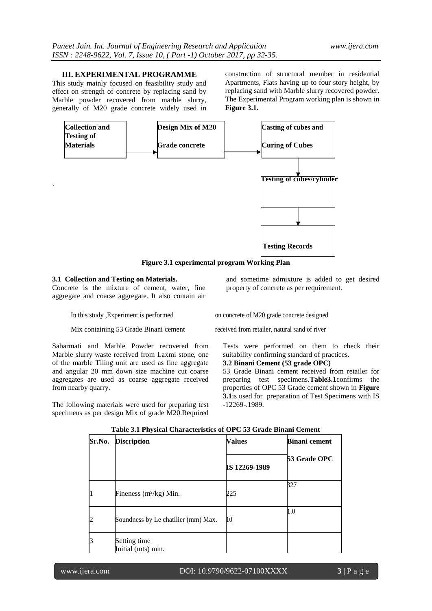#### **III. EXPERIMENTAL PROGRAMME**

This study mainly focused on feasibility study and effect on strength of concrete by replacing sand by Marble powder recovered from marble slurry, generally of M20 grade concrete widely used in

construction of structural member in residential Apartments, Flats having up to four story height, by replacing sand with Marble slurry recovered powder. The Experimental Program working plan is shown in **Figure 3.1.**



**Figure 3.1 experimental program Working Plan**

#### **3.1 Collection and Testing on Materials.**

`

Concrete is the mixture of cement, water, fine aggregate and coarse aggregate. It also contain air

Mix containing 53 Grade Binani cement received from retailer, natural sand of river

Sabarmati and Marble Powder recovered from Marble slurry waste received from Laxmi stone, one of the marble Tiling unit are used as fine aggregate and angular 20 mm down size machine cut coarse aggregates are used as coarse aggregate received from nearby quarry.

The following materials were used for preparing test specimens as per design Mix of grade M20.Required

and sometime admixture is added to get desired property of concrete as per requirement.

In this study ,Experiment is performed on concrete of M20 grade concrete designed

Tests were performed on them to check their suitability confirming standard of practices.

# **3.2 Binani Cement (53 grade OPC)**

53 Grade Binani cement received from retailer for preparing test specimens.**Table3.1**confirms the properties of OPC 53 Grade cement shown in **Figure 3.1**is used for preparation of Test Specimens with IS -12269-.1989.

| Sr.No. | <b>Discription</b>                  | Values        | <b>Binani</b> cement |
|--------|-------------------------------------|---------------|----------------------|
|        |                                     | IS 12269-1989 | 53 Grade OPC         |
|        | Fineness $(m^2/kg)$ Min.            | 225           | 327                  |
| 2      | Soundness by Le chatilier (mm) Max. | 10            | $1.0\,$              |
| 13     | Setting time<br>Initial (mts) min.  |               |                      |

**Table 3.1 Physical Characteristics of OPC 53 Grade Binani Cement**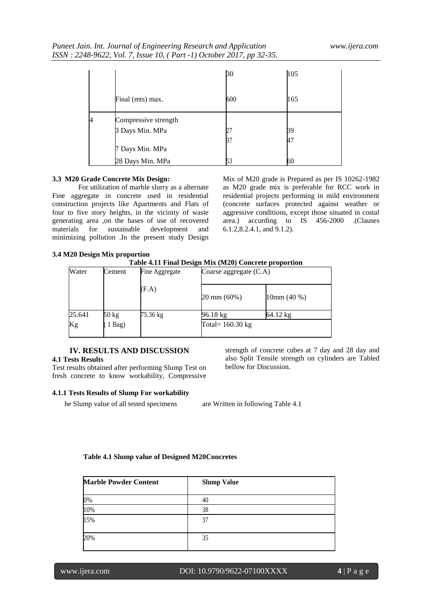|   |                      | 30  | 105 |  |
|---|----------------------|-----|-----|--|
|   | Final (mts) max.     | 600 | 165 |  |
| 4 | Compressive strength |     |     |  |
|   | 3 Days Min. MPa      |     | 39  |  |
|   | 7 Days Min. MPa      | 37  | 47  |  |
|   | 28 Days Min. MPa     |     | 60  |  |

## **3.3 M20 Grade Concrete Mix Design:**

For utilization of marble slurry as a alternate Fine aggregate in concrete used in residential construction projects like Apartments and Flats of four to five story heights, in the vicinity of waste generating area ,on the bases of use of recovered materials for sustainable development and minimizing pollution .In the present study Design

Mix of M20 grade is Prepared as per IS 10262-1982 as M20 grade mix is preferable for RCC work in residential projects performing in mild environment (concrete surfaces protected against weather or aggressive conditions, except those situated in costal area.) according to IS 456-2000 .(Clauses 6.1.2,8.2.4.1, and 9.1.2).

strength of concrete cubes at 7 day and 28 day and also Split Tensile strength on cylinders are Tabled

#### **3.4 M20 Design Mix proportion**

| Table 4.11 Final Design Mix (M20) Concrete proportion |
|-------------------------------------------------------|
|-------------------------------------------------------|

| Water  | Cement          | Fine Aggregate | Coarse aggregate $(C.A)$ |          |  |
|--------|-----------------|----------------|--------------------------|----------|--|
|        |                 | (F.A)          | $20 \text{ mm} (60\%)$   | 10mm(40% |  |
| 25.641 | $50 \text{ kg}$ | 75.36 kg       | 96.18 kg                 | 64.12 kg |  |
| Kg     | 1 Bag)          |                | Total= $160.30$ kg       |          |  |

# **IV. RESULTS AND DISCUSSION**

## **4.1 Tests Results**

Test results obtained after performing Slump Test on fresh concrete to know workability, Compressive

#### **4.1.1 Tests Results of Slump For workability**

he Slump value of all tested specimens are Written in following Table 4.1

bellow for Discussion.

## **Table 4.1 Slump value of Designed M20Concretes**

| <b>Marble Powder Content</b> | <b>Slump Value</b> |
|------------------------------|--------------------|
| 0%                           | 40                 |
| 10%                          | 38                 |
| 15%                          | 37                 |
| 20%                          | 35                 |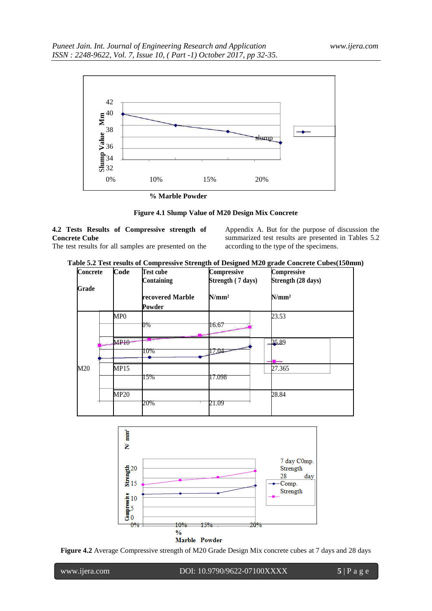



## **Figure 4.1 Slump Value of M20 Design Mix Concrete**

# **4.2 Tests Results of Compressive strength of Concrete Cube**

The test results for all samples are presented on the

Appendix A. But for the purpose of discussion the summarized test results are presented in Tables 5.2 according to the type of the specimens.

| Table 5.2 Test results of Compressive Strength of Designed M20 grade Concrete Cubes(150mm) |
|--------------------------------------------------------------------------------------------|
|--------------------------------------------------------------------------------------------|

| <b>Concrete</b> | Code            | <b>Test cube</b><br>Containing | Compressive<br>Strength (7 days) | Compressive<br>Strength (28 days) |
|-----------------|-----------------|--------------------------------|----------------------------------|-----------------------------------|
| Grade           |                 | recovered Marble<br>Powder     | N/mm <sup>2</sup>                | $N/mm^2$                          |
|                 | MP <sub>0</sub> | 0%                             | 16.67                            | 23.53                             |
|                 | MP10            | 10%                            | 7 U                              | 25.89                             |
| M20             | MP15            | 15%                            | 17.098                           | 27.365                            |
|                 | <b>MP20</b>     | 20%                            | 21.09                            | 28.84                             |



**Figure 4.2** Average Compressive strength of M20 Grade Design Mix concrete cubes at 7 days and 28 days